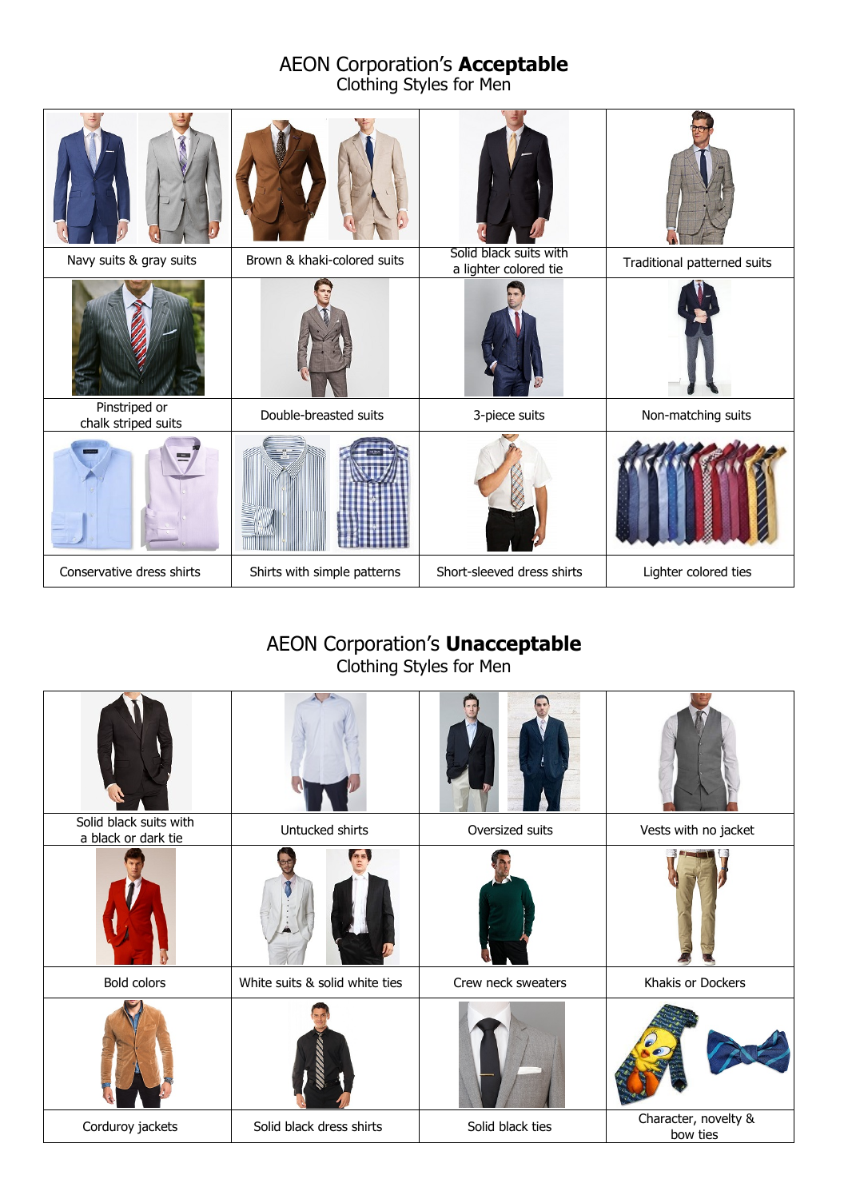#### AEON Corporation's **Acceptable** Clothing Styles for Men

| Navy suits & gray suits              | Brown & khaki-colored suits | Solid black suits with<br>a lighter colored tie | Traditional patterned suits |
|--------------------------------------|-----------------------------|-------------------------------------------------|-----------------------------|
|                                      |                             |                                                 |                             |
| Pinstriped or<br>chalk striped suits | Double-breasted suits       | 3-piece suits                                   | Non-matching suits          |
|                                      |                             |                                                 |                             |
| Conservative dress shirts            | Shirts with simple patterns | Short-sleeved dress shirts                      | Lighter colored ties        |

### AEON Corporation's **Unacceptable** Clothing Styles for Men

| Solid black suits with<br>a black or dark tie | Untucked shirts                | Oversized suits    | Vests with no jacket             |
|-----------------------------------------------|--------------------------------|--------------------|----------------------------------|
|                                               |                                |                    |                                  |
| Bold colors                                   | White suits & solid white ties | Crew neck sweaters | Khakis or Dockers                |
|                                               |                                |                    |                                  |
| Corduroy jackets                              | Solid black dress shirts       | Solid black ties   | Character, novelty &<br>bow ties |